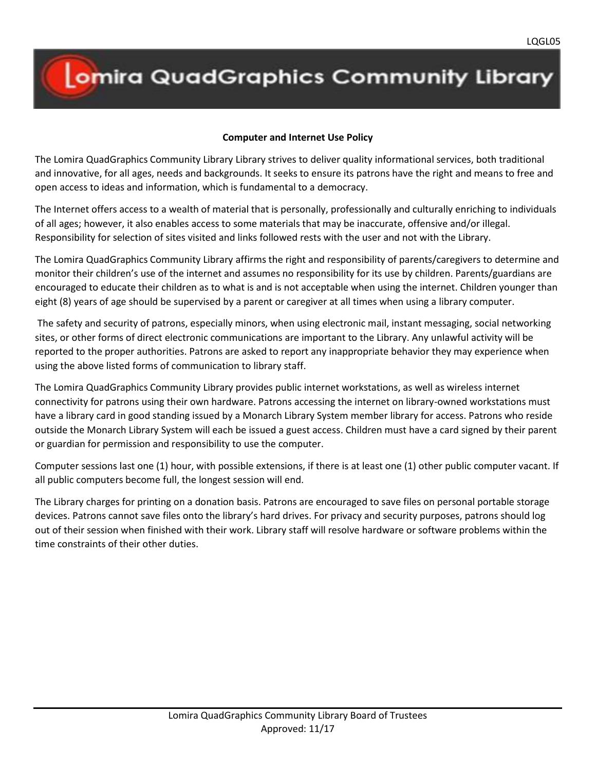## **Lomira QuadGraphics Community Library**

## **Computer and Internet Use Policy**

The Lomira QuadGraphics Community Library Library strives to deliver quality informational services, both traditional and innovative, for all ages, needs and backgrounds. It seeks to ensure its patrons have the right and means to free and open access to ideas and information, which is fundamental to a democracy.

The Internet offers access to a wealth of material that is personally, professionally and culturally enriching to individuals of all ages; however, it also enables access to some materials that may be inaccurate, offensive and/or illegal. Responsibility for selection of sites visited and links followed rests with the user and not with the Library.

The Lomira QuadGraphics Community Library affirms the right and responsibility of parents/caregivers to determine and monitor their children's use of the internet and assumes no responsibility for its use by children. Parents/guardians are encouraged to educate their children as to what is and is not acceptable when using the internet. Children younger than eight (8) years of age should be supervised by a parent or caregiver at all times when using a library computer.

The safety and security of patrons, especially minors, when using electronic mail, instant messaging, social networking sites, or other forms of direct electronic communications are important to the Library. Any unlawful activity will be reported to the proper authorities. Patrons are asked to report any inappropriate behavior they may experience when using the above listed forms of communication to library staff.

The Lomira QuadGraphics Community Library provides public internet workstations, as well as wireless internet connectivity for patrons using their own hardware. Patrons accessing the internet on library-owned workstations must have a library card in good standing issued by a Monarch Library System member library for access. Patrons who reside outside the Monarch Library System will each be issued a guest access. Children must have a card signed by their parent or guardian for permission and responsibility to use the computer.

Computer sessions last one (1) hour, with possible extensions, if there is at least one (1) other public computer vacant. If all public computers become full, the longest session will end.

The Library charges for printing on a donation basis. Patrons are encouraged to save files on personal portable storage devices. Patrons cannot save files onto the library's hard drives. For privacy and security purposes, patrons should log out of their session when finished with their work. Library staff will resolve hardware or software problems within the time constraints of their other duties.